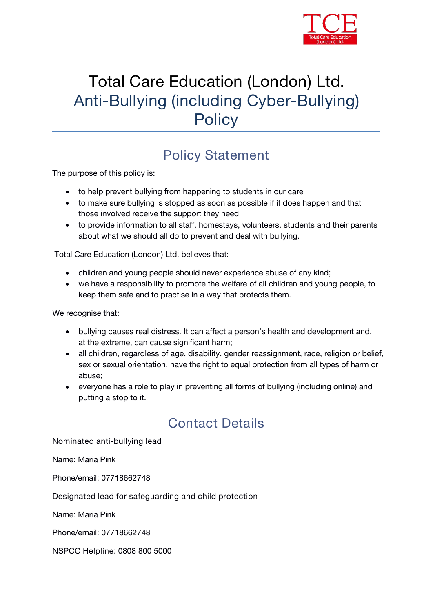

# Total Care Education (London) Ltd. Anti-Bullying (including Cyber-Bullying) **Policy**

## **Policy Statement**

The purpose of this policy is:

- to help prevent bullying from happening to students in our care
- to make sure bullying is stopped as soon as possible if it does happen and that those involved receive the support they need
- to provide information to all staff, homestays, volunteers, students and their parents about what we should all do to prevent and deal with bullying.

*Total Care Education (London) Ltd.* believes that:

- children and young people should never experience abuse of any kind;
- we have a responsibility to promote the welfare of all children and young people, to keep them safe and to practise in a way that protects them.

We recognise that:

- bullying causes real distress. It can affect a person's health and development and, at the extreme, can cause significant harm;
- all children, regardless of age, disability, gender reassignment, race, religion or belief, sex or sexual orientation, have the right to equal protection from all types of harm or abuse;
- everyone has a role to play in preventing all forms of bullying (including online) and putting a stop to it.

### **Contact Details**

**Nominated anti-bullying lead**

Name: Maria Pink

Phone/email: 07718662748

**Designated lead for safeguarding and child protection**

Name: Maria Pink

Phone/email: 07718662748

**NSPCC Helpline:** 0808 800 5000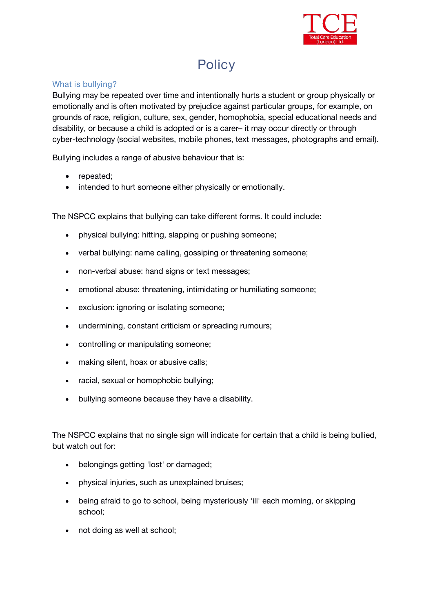

# **Policy**

#### **What is bullying?**

Bullying may be repeated over time and intentionally hurts a student or group physically or emotionally and is often motivated by prejudice against particular groups, for example, on grounds of race, religion, culture, sex, gender, homophobia, special educational needs and disability, or because a child is adopted or is a carer– it may occur directly or through cyber-technology (social websites, mobile phones, text messages, photographs and email).

Bullying includes a range of abusive behaviour that is:

- repeated;
- intended to hurt someone either physically or emotionally.

The NSPCC explains that bullying can take different forms. It could include:

- physical bullying: hitting, slapping or pushing someone;
- verbal bullying: name calling, gossiping or threatening someone;
- non-verbal abuse: hand signs or text messages;
- emotional abuse: threatening, intimidating or humiliating someone;
- exclusion: ignoring or isolating someone;
- undermining, constant criticism or spreading rumours;
- controlling or manipulating someone;
- making silent, hoax or abusive calls;
- racial, sexual or homophobic bullying;
- bullying someone because they have a disability.

The NSPCC explains that no single sign will indicate for certain that a child is being bullied, but watch out for:

- belongings getting 'lost' or damaged;
- physical injuries, such as unexplained bruises;
- being afraid to go to school, being mysteriously 'ill' each morning, or skipping school;
- not doing as well at school;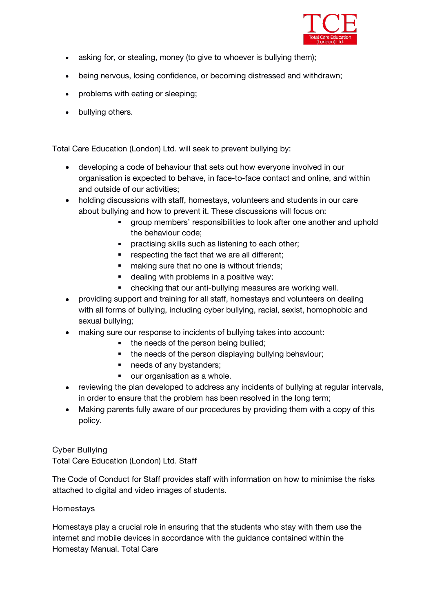

- asking for, or stealing, money (to give to whoever is bullying them);
- being nervous, losing confidence, or becoming distressed and withdrawn;
- problems with eating or sleeping;
- bullying others.

*Total Care Education (London) Ltd.* will seek to prevent bullying by:

- developing a code of behaviour that sets out how everyone involved in our organisation is expected to behave, in face-to-face contact and online, and within and outside of our activities;
- holding discussions with staff, homestays, volunteers and students in our care about bullying and how to prevent it. These discussions will focus on:
	- group members' responsibilities to look after one another and uphold the behaviour code;
	- **PEDEDITY IS NOTEN IN STARK IS SET IS SET IS SET IS SET IS SET IS SET IS SET IS SET IS SET IS SET IS SET IS SET IS SET IS SET IS SET IS SET IS SET IS SET IS SET IS SET IS SET IS SET IS SET IS SET IS SET IS SET IS SET IS SE**
	- **F** respecting the fact that we are all different;
	- making sure that no one is without friends;
	- **dealing with problems in a positive way;**
	- checking that our anti-bullying measures are working well.
- providing support and training for all staff, homestays and volunteers on dealing with all forms of bullying, including cyber bullying, racial, sexist, homophobic and sexual bullying;
- making sure our response to incidents of bullying takes into account:
	- the needs of the person being bullied;
	- the needs of the person displaying bullying behaviour;
	- needs of any bystanders;
	- our organisation as a whole.
- reviewing the plan developed to address any incidents of bullying at regular intervals, in order to ensure that the problem has been resolved in the long term;
- Making parents fully aware of our procedures by providing them with a copy of this policy.

**Cyber Bullying**

*Total Care Education (London) Ltd.* **Staff**

The Code of Conduct for Staff provides staff with information on how to minimise the risks attached to digital and video images of students.

#### **Homestays**

Homestays play a crucial role in ensuring that the students who stay with them use the internet and mobile devices in accordance with the guidance contained within the Homestay Manual. *Total Care*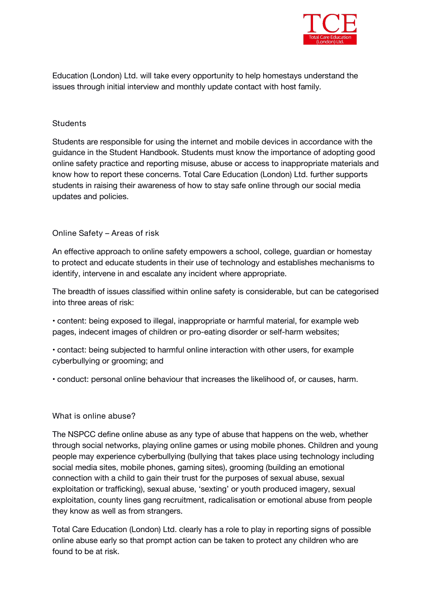

*Education (London) Ltd.* will take every opportunity to help homestays understand the issues through *initial interview and monthly update contact with host family.*

#### **Students**

Students are responsible for using the internet and mobile devices in accordance with the guidance in the Student Handbook. Students must know the importance of adopting good online safety practice and reporting misuse, abuse or access to inappropriate materials and know how to report these concerns. *Total Care Education (London) Ltd.* further supports students in raising their awareness of how to stay safe online through our social media updates and policies.

#### **Online Safety – Areas of risk**

An effective approach to online safety empowers a school, college, guardian or homestay to protect and educate students in their use of technology and establishes mechanisms to identify, intervene in and escalate any incident where appropriate.

The breadth of issues classified within online safety is considerable, but can be categorised into three areas of risk:

• content: being exposed to illegal, inappropriate or harmful material, for example web pages, indecent images of children or pro-eating disorder or self-harm websites;

• contact: being subjected to harmful online interaction with other users, for example cyberbullying or grooming; and

• conduct: personal online behaviour that increases the likelihood of, or causes, harm.

#### **What is online abuse?**

The NSPCC define online abuse as any type of abuse that happens on the web, whether through social networks, playing online games or using mobile phones. Children and young people may experience cyberbullying (bullying that takes place using technology including social media sites, mobile phones, gaming sites), grooming (building an emotional connection with a child to gain their trust for the purposes of sexual abuse, sexual exploitation or trafficking), sexual abuse, 'sexting' or youth produced imagery, sexual exploitation, county lines gang recruitment, radicalisation or emotional abuse from people they know as well as from strangers.

*Total Care Education (London) Ltd.* clearly has a role to play in reporting signs of possible online abuse early so that prompt action can be taken to protect any children who are found to be at risk.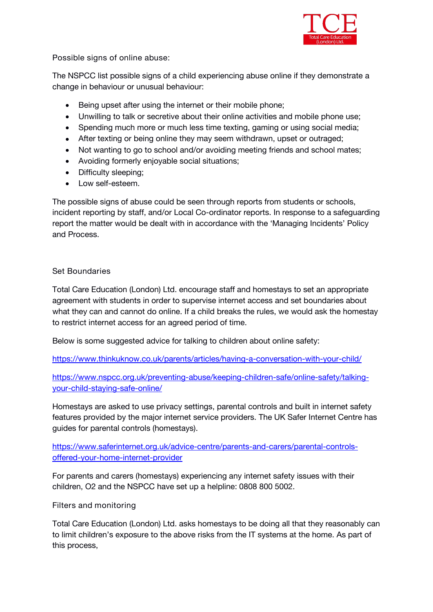

**Possible signs of online abuse:**

The NSPCC list possible signs of a child experiencing abuse online if they demonstrate a change in behaviour or unusual behaviour:

- Being upset after using the internet or their mobile phone;
- Unwilling to talk or secretive about their online activities and mobile phone use;
- Spending much more or much less time texting, gaming or using social media;
- After texting or being online they may seem withdrawn, upset or outraged;
- Not wanting to go to school and/or avoiding meeting friends and school mates;
- Avoiding formerly enjoyable social situations;
- Difficulty sleeping:
- Low self-esteem.

The possible signs of abuse could be seen through reports from students or schools, incident reporting by staff, and/or Local Co-ordinator reports. In response to a safeguarding report the matter would be dealt with in accordance with the 'Managing Incidents' Policy and Process.

#### **Set Boundaries**

*Total Care Education (London) Ltd.* encourage staff and homestays to set an appropriate agreement with students in order to supervise internet access and set boundaries about what they can and cannot do online. If a child breaks the rules, we would ask the homestay to restrict internet access for an agreed period of time.

Below is some suggested advice for talking to children about online safety:

[https://www.thinkuknow.co.uk/parents/articles/having-a-conversation-with-your-child/](about:blank)

[https://www.nspcc.org.uk/preventing-abuse/keeping-children-safe/online-safety/talking](about:blank) your-child-staying-safe-online/

Homestays are asked to use privacy settings, parental controls and built in internet safety features provided by the major internet service providers. The UK Safer Internet Centre has guides for parental controls (homestays).

[https://www.saferinternet.org.uk/advice-centre/parents-and-carers/parental-controls](about:blank) offered-your-home-internet-provider

For parents and carers (homestays) experiencing any internet safety issues with their children, O2 and the NSPCC have set up a helpline: 0808 800 5002.

**Filters and monitoring**

*Total Care Education (London) Ltd.* asks homestays to be doing all that they reasonably can to limit children's exposure to the above risks from the IT systems at the home. As part of this process,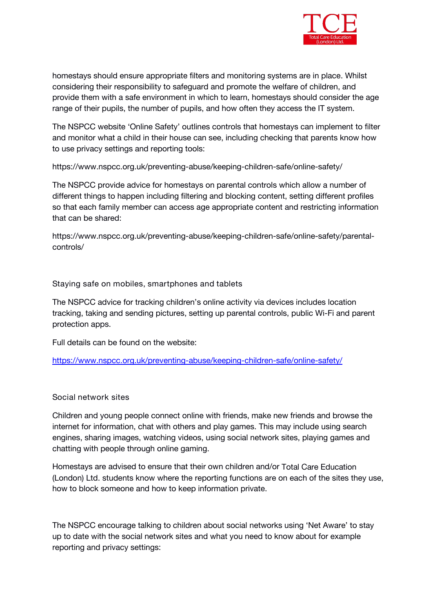

homestays should ensure appropriate filters and monitoring systems are in place. Whilst considering their responsibility to safeguard and promote the welfare of children, and provide them with a safe environment in which to learn, homestays should consider the age range of their pupils, the number of pupils, and how often they access the IT system.

The NSPCC website 'Online Safety' outlines controls that homestays can implement to filter and monitor what a child in their house can see, including checking that parents know how to use privacy settings and reporting tools:

https://www.nspcc.org.uk/preventing-abuse/keeping-children-safe/online-safety/

The NSPCC provide advice for homestays on parental controls which allow a number of different things to happen including filtering and blocking content, setting different profiles so that each family member can access age appropriate content and restricting information that can be shared:

https://www.nspcc.org.uk/preventing-abuse/keeping-children-safe/online-safety/parental controls/

**Staying safe on mobiles, smartphones and tablets**

The NSPCC advice for tracking children's online activity via devices includes location tracking, taking and sending pictures, setting up parental controls, public Wi-Fi and parent protection apps.

Full details can be found on the website:

[https://www.nspcc.org.uk/preventing-abuse/keeping-children-safe/online-safety/](about:blank)

#### **Social network sites**

Children and young people connect online with friends, make new friends and browse the internet for information, chat with others and play games. This may include using search engines, sharing images, watching videos, using social network sites, playing games and chatting with people through online gaming.

Homestays are advised to ensure that their own children and/or *Total Care Education (London) Ltd.* students know where the reporting functions are on each of the sites they use, how to block someone and how to keep information private.

The NSPCC encourage talking to children about social networks using 'Net Aware' to stay up to date with the social network sites and what you need to know about for example reporting and privacy settings: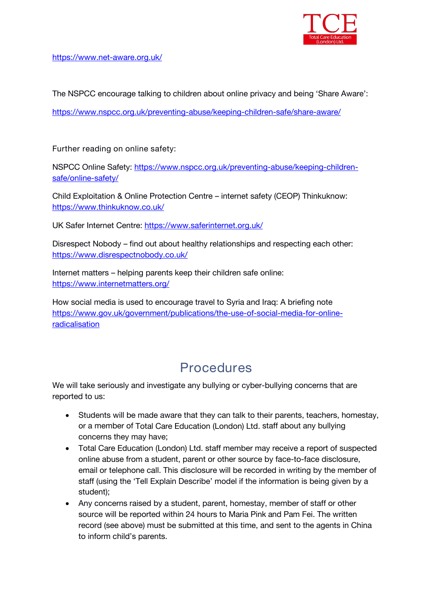

[https://www.net-aware.org.uk/](about:blank)

The NSPCC encourage talking to children about online privacy and being 'Share Aware':

[https://www.nspcc.org.uk/preventing-abuse/keeping-children-safe/share-aware/](about:blank)

**Further reading on online safety:**

NSPCC Online Safety: [https://www.nspcc.org.uk/preventing-abuse/keeping-children](about:blank) safe/online-safety/

Child Exploitation & Online Protection Centre – internet safety (CEOP) Thinkuknow: [https://www.thinkuknow.co.uk/](about:blank)

UK Safer Internet Centre: [https://www.saferinternet.org.uk/](about:blank)

Disrespect Nobody – find out about healthy relationships and respecting each other: [https://www.disrespectnobody.co.uk/](about:blank)

Internet matters – helping parents keep their children safe online: [https://www.internetmatters.org/](about:blank)

How social media is used to encourage travel to Syria and Iraq: A briefing note [https://www.gov.uk/government/publications/the-use-of-social-media-for-online](about:blank)radicalisation

### **Procedures**

We will take seriously and investigate any bullying or cyber-bullying concerns that are reported to us:

- Students will be made aware that they can talk to their parents, teachers, homestay, or a member of *Total Care Education (London) Ltd.* staff about any bullying concerns they may have;
- *Total Care Education (London) Ltd.* staff member may receive a report of suspected online abuse from a student, parent or other source by face-to-face disclosure, email or telephone call. This disclosure will be recorded in writing bythe member of staff (using the 'Tell Explain Describe' model if the information is being given by a student);
- Any concerns raised by a student, parent, homestay, member of staff or other source will be reported within 24 hours to *Maria Pink and Pam Fei.* The written record (see above) must be submitted at this time, and sent to the agents in China to inform child's parents.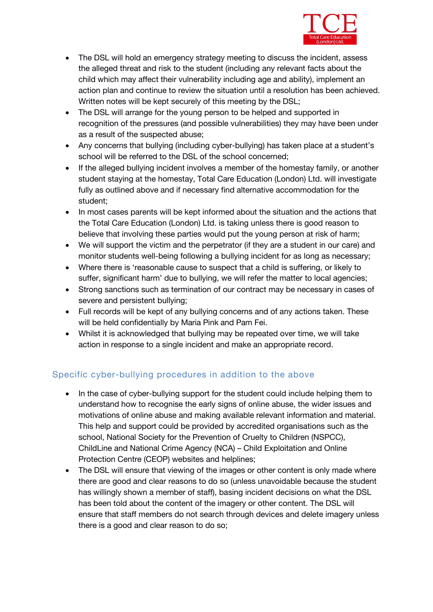

- The DSL will hold an emergency strategy meeting to discuss the incident, assess the alleged threat and risk to the student (including any relevant facts about the child which may affect their vulnerability including age and ability), implement an action plan and continue to review the situation until a resolution has been achieved. Written notes will be kept securely of this meeting by the DSL;
- The DSL will arrange for the young person to be helped and supported in recognition of the pressures (and possible vulnerabilities) they may have been under as a result of the suspected abuse;
- Any concerns that bullying (including cyber-bullying) has taken place at a student's school will be referred to the DSL of the school concerned;
- If the alleged bullying incident involves a member of the homestay family, or another student staying at the homestay,*Total Care Education (London) Ltd.* will investigate fully as outlined above and if necessary find alternative accommodation for the student;
- In most cases parents will be kept informed about the situation and the actions that the *Total Care Education (London) Ltd.* is taking unless there is good reason to believe that involving these parties would put the young person at risk of harm;
- We will support the victim and the perpetrator (if they are a student in our care) and monitor students well-being following a bullying incident for as long as necessary;
- Where there is 'reasonable cause to suspect that a child is suffering, or likely to suffer, significant harm' due to bullying, we will refer the matter to local agencies;
- Strong sanctions such as termination of our contract may be necessary in cases of severe and persistent bullying;
- Full records will be kept of any bullying concerns and of any actions taken. These will be held confidentially by *Maria Pink and Pam Fei.*
- Whilst it is acknowledged that bullying may be repeated over time, we will take action in response to a single incident and make an appropriate record.

#### Specific cyber-bullying procedures in addition to the above

- In the case of cyber-bullying support for the student could include helping them to understand how to recognise the early signs of online abuse, the wider issues and motivations of online abuse and making available relevant information and material. This help and support could be provided by accredited organisations such as the school, National Society for the Prevention of Cruelty to Children (NSPCC), ChildLine and National Crime Agency (NCA) – Child Exploitation and Online Protection Centre (CEOP) websites and helplines;
- The DSL will ensure that viewing of the images or other content is only made where there are good and clear reasons to do so (unless unavoidable because the student has willingly shown a member of staff), basing incident decisions on what the DSL has been told about the content of the imagery or other content. The DSL will ensure that staff members do not search through devices and delete imagery unless there is a good and clear reason to do so;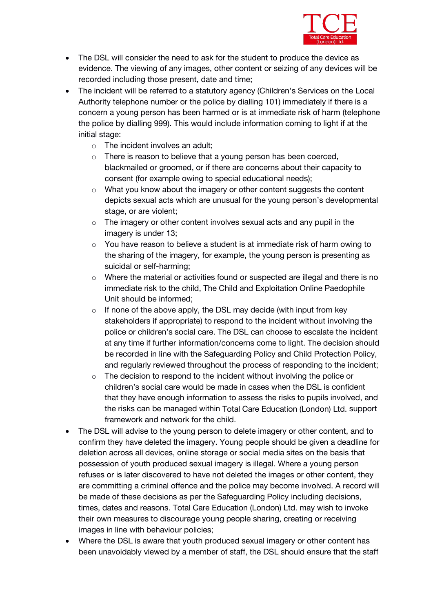

- The DSL will consider the need to ask for the student to produce the device as evidence. The viewing of any images, other content or seizing of any devices will be recorded including those present, date and time;
- The incident will be referred to a statutory agency (Children's Services on the Local Authority telephone number or the police by dialling 101) immediately if there is a concern a young person has been harmed or is at immediate risk of harm (telephone the police by dialling 999). This would include information coming to light if at the initial stage:
	- $\circ$  The incident involves an adult;
	- o There is reason to believe that a young person has been coerced, blackmailed or groomed, or if there are concerns about their capacity to consent (for example owing to special educational needs);
	- $\circ$  What you know about the imagery or other content suggests the content depicts sexual acts which are unusual for the young person's developmental stage, or are violent;
	- o The imagery or other content involves sexual acts and any pupil in the imagery is under 13;
	- $\circ$  You have reason to believe a student is at immediate risk of harm owing to the sharing of the imagery, for example, the young person is presenting as suicidal or self-harming;
	- $\circ$  Where the material or activities found or suspected are illegal and there is no immediate risk to the child, The Child and Exploitation Online Paedophile Unit should be informed;
	- $\circ$  If none of the above apply, the DSL may decide (with input from key stakeholders if appropriate) to respond to the incident without involving the police or children's social care. The DSL can choose to escalate the incident at any time if further information/concerns come to light. The decision should be recorded in line with the Safeguarding Policy and Child Protection Policy, and regularly reviewed throughout the process of responding to the incident;
	- o The decision to respond to the incident without involving the police or children's social care would be made in cases when the DSL is confident that they have enough information to assess the risks to pupils involved, and the risks can be managed within *Total Care Education (London) Ltd.* support framework and network for the child.
- The DSL will advise to the young person to delete imagery or other content, and to confirm they have deleted the imagery. Young people should be given a deadline for deletion across all devices, online storage or social media sites on the basis that possession of youth produced sexual imagery is illegal. Where a young person refuses or is later discovered to have not deleted the images or other content, they are committing a criminal offence and the police may become involved. A record will be made of these decisions as per the Safeguarding Policy including decisions, times, dates and reasons. *Total Care Education (London) Ltd.* may wish to invoke their own measures to discourage young people sharing, creating or receiving images in line with behaviour policies;
- Where the DSL is aware that youth produced sexual imagery or other content has been unavoidably viewed by a member of staff, the DSL should ensure that the staff